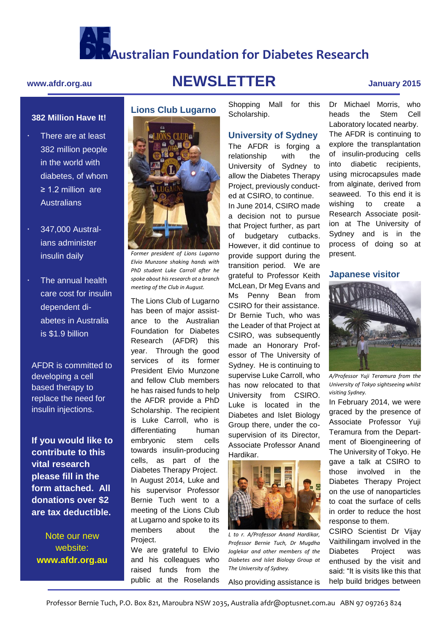# **Australian Foundation for Diabetes Research**

## **www.afdr.org.au NEWSLETTER January 2015**

### **382 Million Have It!**

- There are at least 382 million people in the world with diabetes, of whom ≥ 1.2 million are **Australians**
- 347,000 Australians administer insulin daily
- The annual health care cost for insulin dependent diabetes in Australia is \$1.9 billion

AFDR is committed to developing a cell based therapy to replace the need for insulin injections.

**If you would like to contribute to this vital research please fill in the form attached. All donations over \$2 are tax deductible.**

Note our new website: **www.afdr.org.au**

#### **Lions Club Lugarno**



*Former president of Lions Lugarno Elvio Munzone shaking hands with PhD student Luke Carroll after he spoke about his research at a branch meeting of the Club in August.* 

The Lions Club of Lugarno has been of major assistance to the Australian Foundation for Diabetes Research (AFDR) this year. Through the good services of its former President Elvio Munzone and fellow Club members he has raised funds to help the AFDR provide a PhD Scholarship. The recipient is Luke Carroll, who is differentiating human embryonic stem cells towards insulin-producing cells, as part of the Diabetes Therapy Project. In August 2014, Luke and his supervisor Professor Bernie Tuch went to a meeting of the Lions Club at Lugarno and spoke to its members about the Project.

We are grateful to Elvio and his colleagues who raised funds from the public at the Roselands Shopping Mall for this Scholarship.

#### **University of Sydney**

The AFDR is forging a relationship with the University of Sydney to allow the Diabetes Therapy Project, previously conducted at CSIRO, to continue. In June 2014, CSIRO made a decision not to pursue that Project further, as part of budgetary cutbacks. However, it did continue to provide support during the transition period. We are grateful to Professor Keith McLean, Dr Meg Evans and Ms Penny Bean from CSIRO for their assistance. Dr Bernie Tuch, who was the Leader of that Project at CSIRO, was subsequently made an Honorary Professor of The University of Sydney. He is continuing to supervise Luke Carroll, who has now relocated to that University from CSIRO. Luke is located in the Diabetes and Islet Biology Group there, under the cosupervision of its Director. Associate Professor Anand Hardikar.



*L to r. A/Professor Anand Hardikar, Professor Bernie Tuch, Dr Mugdha Joglekar and other members of the Diabetes and Islet Biology Group at The University of Sydney.*

Also providing assistance is

Dr Michael Morris, who heads the Stem Cell Laboratory located nearby. The AFDR is continuing to explore the transplantation of insulin-producing cells into diabetic recipients, using microcapsules made from alginate, derived from seaweed. To this end it is wishing to create a Research Associate position at The University of Sydney and is in the process of doing so at present.

#### **Japanese visitor**



*A/Professor Yuji Teramura from the University of Tokyo sightseeing whilst visiting Sydney.*

In February 2014, we were graced by the presence of Associate Professor Yuji Teramura from the Department of Bioengineering of The University of Tokyo. He gave a talk at CSIRO to those involved in the Diabetes Therapy Project on the use of nanoparticles to coat the surface of cells in order to reduce the host response to them.

CSIRO Scientist Dr Vijay Vaithilingam involved in the Diabetes Project was enthused by the visit and said: "It is visits like this that help build bridges between